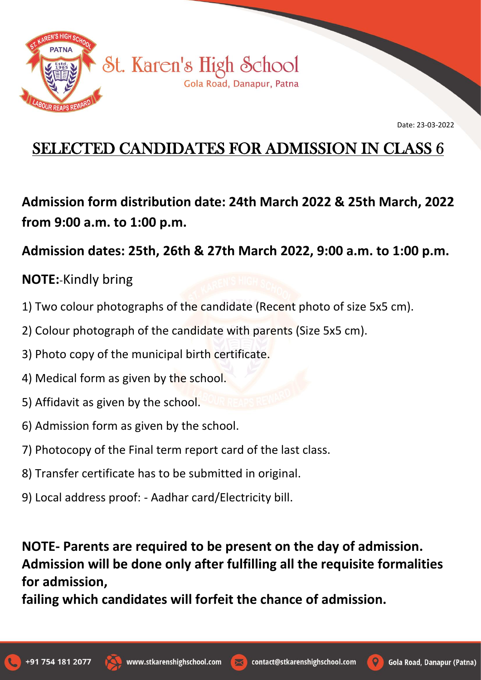

Date: 23-03-2022

## SELECTED CANDIDATES FOR ADMISSION IN CLASS 6

**Admission form distribution date: 24th March 2022 & 25th March, 2022 from 9:00 a.m. to 1:00 p.m.**

## **Admission dates: 25th, 26th & 27th March 2022, 9:00 a.m. to 1:00 p.m.**

## **NOTE:**-Kindly bring

- 1) Two colour photographs of the candidate (Recent photo of size 5x5 cm).
- 2) Colour photograph of the candidate with parents (Size 5x5 cm).
- 3) Photo copy of the municipal birth certificate.
- 4) Medical form as given by the school.
- 5) Affidavit as given by the school.
- 6) Admission form as given by the school.
- 7) Photocopy of the Final term report card of the last class.
- 8) Transfer certificate has to be submitted in original.
- 9) Local address proof: Aadhar card/Electricity bill.

**NOTE- Parents are required to be present on the day of admission. Admission will be done only after fulfilling all the requisite formalities for admission,**

**failing which candidates will forfeit the chance of admission.**





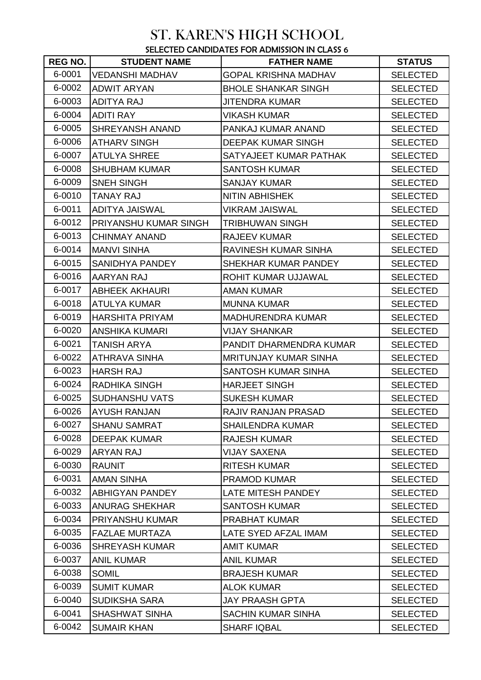## ST. KAREN'S HIGH SCHOOL SELECTED CANDIDATES FOR ADMISSION IN CLASS 6

| REG NO. I | <b>STUDENT NAME</b>    | <b>JLLLUTLD UATTDIDATEJ I UIT ADIWIJJIUIT IIT ULAJJ U</b><br><b>FATHER NAME</b> | <b>STATUS</b>   |
|-----------|------------------------|---------------------------------------------------------------------------------|-----------------|
| 6-0001    | <b>VEDANSHI MADHAV</b> | <b>GOPAL KRISHNA MADHAV</b>                                                     | <b>SELECTED</b> |
| 6-0002    | <b>ADWIT ARYAN</b>     | <b>BHOLE SHANKAR SINGH</b>                                                      | <b>SELECTED</b> |
| 6-0003    | <b>ADITYA RAJ</b>      | JITENDRA KUMAR                                                                  | <b>SELECTED</b> |
| 6-0004    | <b>ADITI RAY</b>       | VIKASH KUMAR                                                                    | <b>SELECTED</b> |
| 6-0005    | <b>SHREYANSH ANAND</b> | PANKAJ KUMAR ANAND                                                              | <b>SELECTED</b> |
| 6-0006    | <b>ATHARV SINGH</b>    | DEEPAK KUMAR SINGH                                                              | <b>SELECTED</b> |
| 6-0007    | <b>ATULYA SHREE</b>    | SATYAJEET KUMAR PATHAK                                                          | <b>SELECTED</b> |
| 6-0008    | <b>SHUBHAM KUMAR</b>   | <b>SANTOSH KUMAR</b>                                                            | <b>SELECTED</b> |
| 6-0009    | <b>SNEH SINGH</b>      | SANJAY KUMAR                                                                    | <b>SELECTED</b> |
| 6-0010    | <b>TANAY RAJ</b>       | <b>NITIN ABHISHEK</b>                                                           | <b>SELECTED</b> |
| 6-0011    | <b>ADITYA JAISWAL</b>  | <b>VIKRAM JAISWAL</b>                                                           | <b>SELECTED</b> |
| 6-0012    | PRIYANSHU KUMAR SINGH  | <b>TRIBHUWAN SINGH</b>                                                          | <b>SELECTED</b> |
| 6-0013    | <b>CHINMAY ANAND</b>   | <b>RAJEEV KUMAR</b>                                                             | <b>SELECTED</b> |
| 6-0014    | <b>MANVI SINHA</b>     | RAVINESH KUMAR SINHA                                                            | <b>SELECTED</b> |
| 6-0015    | SANIDHYA PANDEY        | SHEKHAR KUMAR PANDEY                                                            | <b>SELECTED</b> |
| 6-0016    | AARYAN RAJ             | ROHIT KUMAR UJJAWAL                                                             | <b>SELECTED</b> |
| 6-0017    | <b>ABHEEK AKHAURI</b>  | <b>AMAN KUMAR</b>                                                               | <b>SELECTED</b> |
| 6-0018    | ATULYA KUMAR           | <b>MUNNA KUMAR</b>                                                              | <b>SELECTED</b> |
| 6-0019    | <b>HARSHITA PRIYAM</b> | <b>MADHURENDRA KUMAR</b>                                                        | <b>SELECTED</b> |
| 6-0020    | <b>ANSHIKA KUMARI</b>  | <b>VIJAY SHANKAR</b>                                                            | <b>SELECTED</b> |
| 6-0021    | <b>TANISH ARYA</b>     | PANDIT DHARMENDRA KUMAR                                                         | <b>SELECTED</b> |
| 6-0022    | ATHRAVA SINHA          | <b>MRITUNJAY KUMAR SINHA</b>                                                    | <b>SELECTED</b> |
| 6-0023    | <b>HARSH RAJ</b>       | SANTOSH KUMAR SINHA                                                             | <b>SELECTED</b> |
| 6-0024    | RADHIKA SINGH          | <b>HARJEET SINGH</b>                                                            | <b>SELECTED</b> |
| 6-0025    | <b>SUDHANSHU VATS</b>  | <b>SUKESH KUMAR</b>                                                             | <b>SELECTED</b> |
| 6-0026    | <b>AYUSH RANJAN</b>    | RAJIV RANJAN PRASAD                                                             | <b>SELECTED</b> |
| 6-0027    | <b>SHANU SAMRAT</b>    | <b>SHAILENDRA KUMAR</b>                                                         | <b>SELECTED</b> |
| 6-0028    | <b>DEEPAK KUMAR</b>    | <b>RAJESH KUMAR</b>                                                             | <b>SELECTED</b> |
| 6-0029    | <b>ARYAN RAJ</b>       | <b>VIJAY SAXENA</b>                                                             | <b>SELECTED</b> |
| 6-0030    | <b>RAUNIT</b>          | <b>RITESH KUMAR</b>                                                             | <b>SELECTED</b> |
| 6-0031    | <b>AMAN SINHA</b>      | <b>PRAMOD KUMAR</b>                                                             | <b>SELECTED</b> |
| 6-0032    | <b>ABHIGYAN PANDEY</b> | LATE MITESH PANDEY                                                              | <b>SELECTED</b> |
| 6-0033    | <b>ANURAG SHEKHAR</b>  | <b>SANTOSH KUMAR</b>                                                            | <b>SELECTED</b> |
| 6-0034    | PRIYANSHU KUMAR        | <b>PRABHAT KUMAR</b>                                                            | <b>SELECTED</b> |
| 6-0035    | <b>FAZLAE MURTAZA</b>  | LATE SYED AFZAL IMAM                                                            | <b>SELECTED</b> |
| 6-0036    | <b>SHREYASH KUMAR</b>  | <b>AMIT KUMAR</b>                                                               | <b>SELECTED</b> |
| 6-0037    | <b>ANIL KUMAR</b>      | <b>ANIL KUMAR</b>                                                               | <b>SELECTED</b> |
| 6-0038    | <b>SOMIL</b>           | <b>BRAJESH KUMAR</b>                                                            | <b>SELECTED</b> |
| 6-0039    | <b>SUMIT KUMAR</b>     | <b>ALOK KUMAR</b>                                                               | <b>SELECTED</b> |
| 6-0040    | <b>SUDIKSHA SARA</b>   | <b>JAY PRAASH GPTA</b>                                                          | <b>SELECTED</b> |
| 6-0041    | <b>SHASHWAT SINHA</b>  | SACHIN KUMAR SINHA                                                              | <b>SELECTED</b> |
| 6-0042    | <b>SUMAIR KHAN</b>     | <b>SHARF IQBAL</b>                                                              | <b>SELECTED</b> |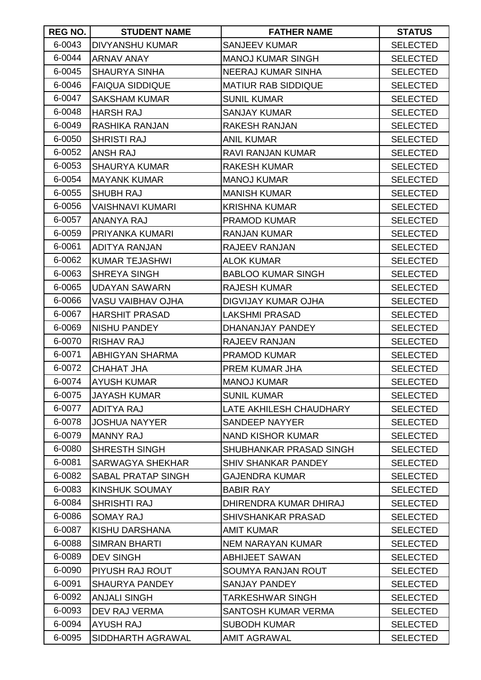| REG NO. | <b>STUDENT NAME</b>       | <b>FATHER NAME</b>         | <b>STATUS</b>   |
|---------|---------------------------|----------------------------|-----------------|
| 6-0043  | <b>DIVYANSHU KUMAR</b>    | <b>SANJEEV KUMAR</b>       | <b>SELECTED</b> |
| 6-0044  | <b>ARNAV ANAY</b>         | <b>MANOJ KUMAR SINGH</b>   | <b>SELECTED</b> |
| 6-0045  | <b>SHAURYA SINHA</b>      | NEERAJ KUMAR SINHA         | <b>SELECTED</b> |
| 6-0046  | <b>FAIQUA SIDDIQUE</b>    | <b>MATIUR RAB SIDDIQUE</b> | <b>SELECTED</b> |
| 6-0047  | <b>SAKSHAM KUMAR</b>      | <b>SUNIL KUMAR</b>         | <b>SELECTED</b> |
| 6-0048  | <b>HARSH RAJ</b>          | <b>SANJAY KUMAR</b>        | <b>SELECTED</b> |
| 6-0049  | <b>RASHIKA RANJAN</b>     | RAKESH RANJAN              | <b>SELECTED</b> |
| 6-0050  | <b>SHRISTI RAJ</b>        | <b>ANIL KUMAR</b>          | <b>SELECTED</b> |
| 6-0052  | <b>ANSH RAJ</b>           | RAVI RANJAN KUMAR          | <b>SELECTED</b> |
| 6-0053  | <b>SHAURYA KUMAR</b>      | <b>RAKESH KUMAR</b>        | <b>SELECTED</b> |
| 6-0054  | <b>MAYANK KUMAR</b>       | <b>MANOJ KUMAR</b>         | <b>SELECTED</b> |
| 6-0055  | <b>SHUBH RAJ</b>          | <b>MANISH KUMAR</b>        | <b>SELECTED</b> |
| 6-0056  | VAISHNAVI KUMARI          | <b>KRISHNA KUMAR</b>       | <b>SELECTED</b> |
| 6-0057  | <b>ANANYA RAJ</b>         | <b>PRAMOD KUMAR</b>        | <b>SELECTED</b> |
| 6-0059  | PRIYANKA KUMARI           | <b>RANJAN KUMAR</b>        | <b>SELECTED</b> |
| 6-0061  | <b>ADITYA RANJAN</b>      | RAJEEV RANJAN              | <b>SELECTED</b> |
| 6-0062  | <b>KUMAR TEJASHWI</b>     | <b>ALOK KUMAR</b>          | <b>SELECTED</b> |
| 6-0063  | <b>SHREYA SINGH</b>       | <b>BABLOO KUMAR SINGH</b>  | <b>SELECTED</b> |
| 6-0065  | <b>UDAYAN SAWARN</b>      | <b>RAJESH KUMAR</b>        | <b>SELECTED</b> |
| 6-0066  | <b>VASU VAIBHAV OJHA</b>  | DIGVIJAY KUMAR OJHA        | <b>SELECTED</b> |
| 6-0067  | <b>HARSHIT PRASAD</b>     | LAKSHMI PRASAD             | <b>SELECTED</b> |
| 6-0069  | <b>NISHU PANDEY</b>       | DHANANJAY PANDEY           | <b>SELECTED</b> |
| 6-0070  | <b>RISHAV RAJ</b>         | RAJEEV RANJAN              | <b>SELECTED</b> |
| 6-0071  | <b>ABHIGYAN SHARMA</b>    | <b>PRAMOD KUMAR</b>        | <b>SELECTED</b> |
| 6-0072  | <b>CHAHAT JHA</b>         | PREM KUMAR JHA             | <b>SELECTED</b> |
| 6-0074  | <b>AYUSH KUMAR</b>        | <b>MANOJ KUMAR</b>         | <b>SELECTED</b> |
| 6-0075  | <b>JAYASH KUMAR</b>       | <b>SUNIL KUMAR</b>         | <b>SELECTED</b> |
| 6-0077  | <b>ADITYA RAJ</b>         | LATE AKHILESH CHAUDHARY    | <b>SELECTED</b> |
| 6-0078  | <b>JOSHUA NAYYER</b>      | SANDEEP NAYYER             | <b>SELECTED</b> |
| 6-0079  | <b>MANNY RAJ</b>          | <b>NAND KISHOR KUMAR</b>   | <b>SELECTED</b> |
| 6-0080  | SHRESTH SINGH             | SHUBHANKAR PRASAD SINGH    | <b>SELECTED</b> |
| 6-0081  | <b>SARWAGYA SHEKHAR</b>   | <b>SHIV SHANKAR PANDEY</b> | <b>SELECTED</b> |
| 6-0082  | <b>SABAL PRATAP SINGH</b> | <b>GAJENDRA KUMAR</b>      | <b>SELECTED</b> |
| 6-0083  | <b>KINSHUK SOUMAY</b>     | <b>BABIR RAY</b>           | <b>SELECTED</b> |
| 6-0084  | <b>SHRISHTI RAJ</b>       | DHIRENDRA KUMAR DHIRAJ     | <b>SELECTED</b> |
| 6-0086  | <b>SOMAY RAJ</b>          | SHIVSHANKAR PRASAD         | <b>SELECTED</b> |
| 6-0087  | KISHU DARSHANA            | AMIT KUMAR                 | <b>SELECTED</b> |
| 6-0088  | <b>SIMRAN BHARTI</b>      | <b>NEM NARAYAN KUMAR</b>   | <b>SELECTED</b> |
| 6-0089  | <b>DEV SINGH</b>          | <b>ABHIJEET SAWAN</b>      | <b>SELECTED</b> |
| 6-0090  | PIYUSH RAJ ROUT           | SOUMYA RANJAN ROUT         | <b>SELECTED</b> |
| 6-0091  | <b>SHAURYA PANDEY</b>     | <b>SANJAY PANDEY</b>       | <b>SELECTED</b> |
| 6-0092  | <b>ANJALI SINGH</b>       | TARKESHWAR SINGH           | <b>SELECTED</b> |
| 6-0093  | DEV RAJ VERMA             | SANTOSH KUMAR VERMA        | <b>SELECTED</b> |
| 6-0094  | <b>AYUSH RAJ</b>          | <b>SUBODH KUMAR</b>        | <b>SELECTED</b> |
| 6-0095  | SIDDHARTH AGRAWAL         | <b>AMIT AGRAWAL</b>        | <b>SELECTED</b> |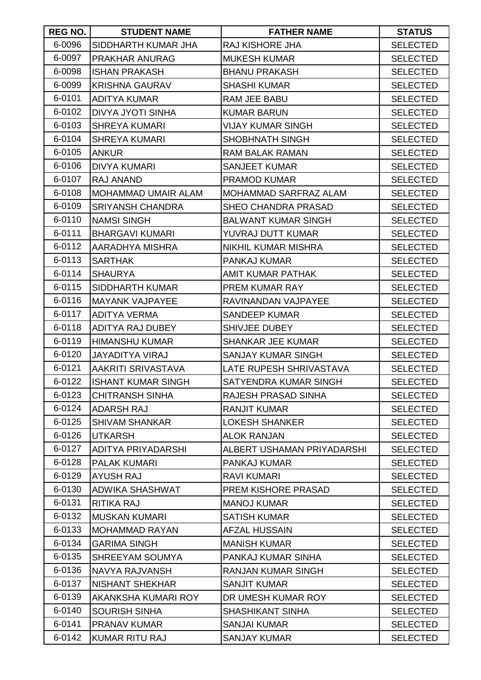| REG NO. | <b>STUDENT NAME</b>        | <b>FATHER NAME</b>           | <b>STATUS</b>   |
|---------|----------------------------|------------------------------|-----------------|
| 6-0096  | SIDDHARTH KUMAR JHA        | <b>RAJ KISHORE JHA</b>       | <b>SELECTED</b> |
| 6-0097  | <b>PRAKHAR ANURAG</b>      | <b>MUKESH KUMAR</b>          | <b>SELECTED</b> |
| 6-0098  | <b>ISHAN PRAKASH</b>       | <b>BHANU PRAKASH</b>         | <b>SELECTED</b> |
| 6-0099  | <b>KRISHNA GAURAV</b>      | <b>SHASHI KUMAR</b>          | <b>SELECTED</b> |
| 6-0101  | <b>ADITYA KUMAR</b>        | RAM JEE BABU                 | <b>SELECTED</b> |
| 6-0102  | <b>DIVYA JYOTI SINHA</b>   | <b>KUMAR BARUN</b>           | <b>SELECTED</b> |
| 6-0103  | <b>SHREYA KUMARI</b>       | <b>VIJAY KUMAR SINGH</b>     | <b>SELECTED</b> |
| 6-0104  | <b>SHREYA KUMARI</b>       | <b>SHOBHNATH SINGH</b>       | <b>SELECTED</b> |
| 6-0105  | <b>ANKUR</b>               | <b>RAM BALAK RAMAN</b>       | <b>SELECTED</b> |
| 6-0106  | <b>DIVYA KUMARI</b>        | <b>SANJEET KUMAR</b>         | <b>SELECTED</b> |
| 6-0107  | <b>RAJ ANAND</b>           | <b>PRAMOD KUMAR</b>          | <b>SELECTED</b> |
| 6-0108  | <b>MOHAMMAD UMAIR ALAM</b> | <b>MOHAMMAD SARFRAZ ALAM</b> | <b>SELECTED</b> |
| 6-0109  | <b>SRIYANSH CHANDRA</b>    | <b>SHEO CHANDRA PRASAD</b>   | <b>SELECTED</b> |
| 6-0110  | <b>NAMSI SINGH</b>         | <b>BALWANT KUMAR SINGH</b>   | <b>SELECTED</b> |
| 6-0111  | <b>BHARGAVI KUMARI</b>     | YUVRAJ DUTT KUMAR            | <b>SELECTED</b> |
| 6-0112  | AARADHYA MISHRA            | <b>NIKHIL KUMAR MISHRA</b>   | <b>SELECTED</b> |
| 6-0113  | <b>SARTHAK</b>             | PANKAJ KUMAR                 | <b>SELECTED</b> |
| 6-0114  | <b>SHAURYA</b>             | AMIT KUMAR PATHAK            | <b>SELECTED</b> |
| 6-0115  | SIDDHARTH KUMAR            | PREM KUMAR RAY               | <b>SELECTED</b> |
| 6-0116  | <b>MAYANK VAJPAYEE</b>     | RAVINANDAN VAJPAYEE          | <b>SELECTED</b> |
| 6-0117  | <b>ADITYA VERMA</b>        | <b>SANDEEP KUMAR</b>         | <b>SELECTED</b> |
| 6-0118  | ADITYA RAJ DUBEY           | SHIVJEE DUBEY                | <b>SELECTED</b> |
| 6-0119  | <b>HIMANSHU KUMAR</b>      | <b>SHANKAR JEE KUMAR</b>     | <b>SELECTED</b> |
| 6-0120  | <b>JAYADITYA VIRAJ</b>     | <b>SANJAY KUMAR SINGH</b>    | <b>SELECTED</b> |
| 6-0121  | <b>AAKRITI SRIVASTAVA</b>  | LATE RUPESH SHRIVASTAVA      | <b>SELECTED</b> |
| 6-0122  | <b>ISHANT KUMAR SINGH</b>  | SATYENDRA KUMAR SINGH        | <b>SELECTED</b> |
| 6-0123  | <b>CHITRANSH SINHA</b>     | RAJESH PRASAD SINHA          | <b>SELECTED</b> |
| 6-0124  | <b>ADARSH RAJ</b>          | <b>RANJIT KUMAR</b>          | <b>SELECTED</b> |
| 6-0125  | <b>SHIVAM SHANKAR</b>      | <b>LOKESH SHANKER</b>        | <b>SELECTED</b> |
| 6-0126  | <b>UTKARSH</b>             | <b>ALOK RANJAN</b>           | <b>SELECTED</b> |
| 6-0127  | <b>ADITYA PRIYADARSHI</b>  | ALBERT USHAMAN PRIYADARSHI   | <b>SELECTED</b> |
| 6-0128  | <b>PALAK KUMARI</b>        | PANKAJ KUMAR                 | <b>SELECTED</b> |
| 6-0129  | <b>AYUSH RAJ</b>           | <b>RAVI KUMARI</b>           | <b>SELECTED</b> |
| 6-0130  | <b>ADWIKA SHASHWAT</b>     | PREM KISHORE PRASAD          | <b>SELECTED</b> |
| 6-0131  | RITIKA RAJ                 | <b>MANOJ KUMAR</b>           | <b>SELECTED</b> |
| 6-0132  | <b>MUSKAN KUMARI</b>       | <b>SATISH KUMAR</b>          | <b>SELECTED</b> |
| 6-0133  | <b>MOHAMMAD RAYAN</b>      | <b>AFZAL HUSSAIN</b>         | <b>SELECTED</b> |
| 6-0134  | <b>GARIMA SINGH</b>        | <b>MANISH KUMAR</b>          | <b>SELECTED</b> |
| 6-0135  | <b>SHREEYAM SOUMYA</b>     | PANKAJ KUMAR SINHA           | <b>SELECTED</b> |
| 6-0136  | NAVYA RAJVANSH             | RANJAN KUMAR SINGH           | <b>SELECTED</b> |
| 6-0137  | <b>NISHANT SHEKHAR</b>     | <b>SANJIT KUMAR</b>          | <b>SELECTED</b> |
| 6-0139  | AKANKSHA KUMARI ROY        | DR UMESH KUMAR ROY           | <b>SELECTED</b> |
| 6-0140  | <b>SOURISH SINHA</b>       | <b>SHASHIKANT SINHA</b>      | <b>SELECTED</b> |
| 6-0141  | <b>PRANAV KUMAR</b>        | <b>SANJAI KUMAR</b>          | <b>SELECTED</b> |
| 6-0142  | <b>KUMAR RITU RAJ</b>      | <b>SANJAY KUMAR</b>          | <b>SELECTED</b> |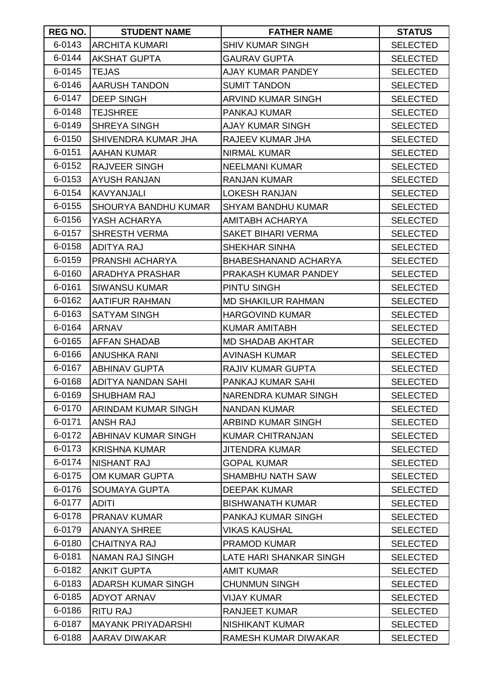| REG NO. | <b>STUDENT NAME</b>         | <b>FATHER NAME</b>          | <b>STATUS</b>   |
|---------|-----------------------------|-----------------------------|-----------------|
| 6-0143  | <b>ARCHITA KUMARI</b>       | <b>SHIV KUMAR SINGH</b>     | <b>SELECTED</b> |
| 6-0144  | <b>AKSHAT GUPTA</b>         | <b>GAURAV GUPTA</b>         | <b>SELECTED</b> |
| 6-0145  | <b>TEJAS</b>                | AJAY KUMAR PANDEY           | <b>SELECTED</b> |
| 6-0146  | <b>AARUSH TANDON</b>        | <b>SUMIT TANDON</b>         | <b>SELECTED</b> |
| 6-0147  | <b>DEEP SINGH</b>           | <b>ARVIND KUMAR SINGH</b>   | <b>SELECTED</b> |
| 6-0148  | <b>TEJSHREE</b>             | PANKAJ KUMAR                | <b>SELECTED</b> |
| 6-0149  | <b>SHREYA SINGH</b>         | <b>AJAY KUMAR SINGH</b>     | <b>SELECTED</b> |
| 6-0150  | <b>SHIVENDRA KUMAR JHA</b>  | RAJEEV KUMAR JHA            | <b>SELECTED</b> |
| 6-0151  | <b>AAHAN KUMAR</b>          | <b>NIRMAL KUMAR</b>         | <b>SELECTED</b> |
| 6-0152  | <b>RAJVEER SINGH</b>        | <b>NEELMANI KUMAR</b>       | <b>SELECTED</b> |
| 6-0153  | <b>AYUSH RANJAN</b>         | <b>RANJAN KUMAR</b>         | <b>SELECTED</b> |
| 6-0154  | <b>KAVYANJALI</b>           | <b>LOKESH RANJAN</b>        | <b>SELECTED</b> |
| 6-0155  | <b>SHOURYA BANDHU KUMAR</b> | <b>SHYAM BANDHU KUMAR</b>   | <b>SELECTED</b> |
| 6-0156  | YASH ACHARYA                | <b>AMITABH ACHARYA</b>      | <b>SELECTED</b> |
| 6-0157  | <b>SHRESTH VERMA</b>        | <b>SAKET BIHARI VERMA</b>   | <b>SELECTED</b> |
| 6-0158  | <b>ADITYA RAJ</b>           | SHEKHAR SINHA               | <b>SELECTED</b> |
| 6-0159  | <b>PRANSHI ACHARYA</b>      | <b>BHABESHANAND ACHARYA</b> | <b>SELECTED</b> |
| 6-0160  | <b>ARADHYA PRASHAR</b>      | PRAKASH KUMAR PANDEY        | <b>SELECTED</b> |
| 6-0161  | <b>SIWANSU KUMAR</b>        | PINTU SINGH                 | <b>SELECTED</b> |
| 6-0162  | <b>AATIFUR RAHMAN</b>       | <b>MD SHAKILUR RAHMAN</b>   | <b>SELECTED</b> |
| 6-0163  | <b>SATYAM SINGH</b>         | <b>HARGOVIND KUMAR</b>      | <b>SELECTED</b> |
| 6-0164  | <b>ARNAV</b>                | <b>KUMAR AMITABH</b>        | <b>SELECTED</b> |
| 6-0165  | <b>AFFAN SHADAB</b>         | <b>MD SHADAB AKHTAR</b>     | <b>SELECTED</b> |
| 6-0166  | <b>ANUSHKA RANI</b>         | <b>AVINASH KUMAR</b>        | <b>SELECTED</b> |
| 6-0167  | <b>ABHINAV GUPTA</b>        | <b>RAJIV KUMAR GUPTA</b>    | <b>SELECTED</b> |
| 6-0168  | <b>ADITYA NANDAN SAHI</b>   | PANKAJ KUMAR SAHI           | <b>SELECTED</b> |
| 6-0169  | <b>SHUBHAM RAJ</b>          | <b>NARENDRA KUMAR SINGH</b> | <b>SELECTED</b> |
| 6-0170  | ARINDAM KUMAR SINGH         | <b>NANDAN KUMAR</b>         | <b>SELECTED</b> |
| 6-0171  | <b>ANSH RAJ</b>             | ARBIND KUMAR SINGH          | <b>SELECTED</b> |
| 6-0172  | <b>ABHINAV KUMAR SINGH</b>  | <b>KUMAR CHITRANJAN</b>     | <b>SELECTED</b> |
| 6-0173  | <b>KRISHNA KUMAR</b>        | <b>JITENDRA KUMAR</b>       | <b>SELECTED</b> |
| 6-0174  | <b>NISHANT RAJ</b>          | <b>GOPAL KUMAR</b>          | <b>SELECTED</b> |
| 6-0175  | OM KUMAR GUPTA              | <b>SHAMBHU NATH SAW</b>     | <b>SELECTED</b> |
| 6-0176  | <b>SOUMAYA GUPTA</b>        | <b>DEEPAK KUMAR</b>         | <b>SELECTED</b> |
| 6-0177  | <b>ADITI</b>                | <b>BISHWANATH KUMAR</b>     | <b>SELECTED</b> |
| 6-0178  | <b>PRANAV KUMAR</b>         | PANKAJ KUMAR SINGH          | <b>SELECTED</b> |
| 6-0179  | <b>ANANYA SHREE</b>         | VIKAS KAUSHAL               | <b>SELECTED</b> |
| 6-0180  | <b>CHAITNYA RAJ</b>         | <b>PRAMOD KUMAR</b>         | <b>SELECTED</b> |
| 6-0181  | <b>NAMAN RAJ SINGH</b>      | LATE HARI SHANKAR SINGH     | <b>SELECTED</b> |
| 6-0182  | <b>ANKIT GUPTA</b>          | <b>AMIT KUMAR</b>           | <b>SELECTED</b> |
| 6-0183  | <b>ADARSH KUMAR SINGH</b>   | <b>CHUNMUN SINGH</b>        | <b>SELECTED</b> |
| 6-0185  | <b>ADYOT ARNAV</b>          | <b>VIJAY KUMAR</b>          | <b>SELECTED</b> |
| 6-0186  | <b>RITU RAJ</b>             | <b>RANJEET KUMAR</b>        | <b>SELECTED</b> |
| 6-0187  | <b>MAYANK PRIYADARSHI</b>   | <b>NISHIKANT KUMAR</b>      | <b>SELECTED</b> |
| 6-0188  | AARAV DIWAKAR               | RAMESH KUMAR DIWAKAR        | <b>SELECTED</b> |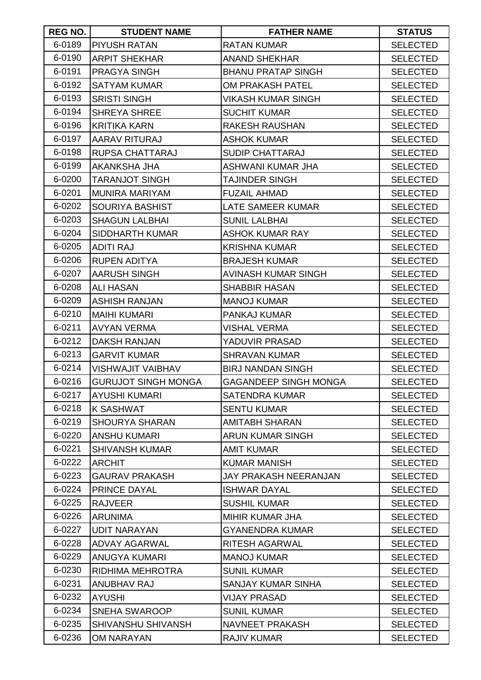| <b>REG NO.</b> | <b>STUDENT NAME</b>        | <b>FATHER NAME</b>           | <b>STATUS</b>   |
|----------------|----------------------------|------------------------------|-----------------|
| 6-0189         | <b>PIYUSH RATAN</b>        | <b>RATAN KUMAR</b>           | <b>SELECTED</b> |
| 6-0190         | <b>ARPIT SHEKHAR</b>       | <b>ANAND SHEKHAR</b>         | <b>SELECTED</b> |
| 6-0191         | <b>PRAGYA SINGH</b>        | <b>BHANU PRATAP SINGH</b>    | <b>SELECTED</b> |
| 6-0192         | <b>SATYAM KUMAR</b>        | <b>OM PRAKASH PATEL</b>      | <b>SELECTED</b> |
| 6-0193         | <b>SRISTI SINGH</b>        | VIKASH KUMAR SINGH           | <b>SELECTED</b> |
| 6-0194         | <b>SHREYA SHREE</b>        | <b>SUCHIT KUMAR</b>          | <b>SELECTED</b> |
| 6-0196         | <b>KRITIKA KARN</b>        | <b>RAKESH RAUSHAN</b>        | <b>SELECTED</b> |
| 6-0197         | AARAV RITURAJ              | <b>ASHOK KUMAR</b>           | <b>SELECTED</b> |
| 6-0198         | RUPSA CHATTARAJ            | <b>SUDIP CHATTARAJ</b>       | <b>SELECTED</b> |
| 6-0199         | AKANKSHA JHA               | ASHWANI KUMAR JHA            | <b>SELECTED</b> |
| 6-0200         | <b>TARANJOT SINGH</b>      | TAJINDER SINGH               | <b>SELECTED</b> |
| 6-0201         | <b>MUNIRA MARIYAM</b>      | <b>FUZAIL AHMAD</b>          | <b>SELECTED</b> |
| 6-0202         | <b>SOURIYA BASHIST</b>     | LATE SAMEER KUMAR            | <b>SELECTED</b> |
| 6-0203         | <b>SHAGUN LALBHAI</b>      | <b>SUNIL LALBHAI</b>         | <b>SELECTED</b> |
| 6-0204         | <b>SIDDHARTH KUMAR</b>     | ASHOK KUMAR RAY              | <b>SELECTED</b> |
| 6-0205         | <b>ADITI RAJ</b>           | <b>KRISHNA KUMAR</b>         | <b>SELECTED</b> |
| 6-0206         | <b>RUPEN ADITYA</b>        | <b>BRAJESH KUMAR</b>         | <b>SELECTED</b> |
| 6-0207         | <b>AARUSH SINGH</b>        | AVINASH KUMAR SINGH          | <b>SELECTED</b> |
| 6-0208         | <b>ALI HASAN</b>           | <b>SHABBIR HASAN</b>         | <b>SELECTED</b> |
| 6-0209         | <b>ASHISH RANJAN</b>       | <b>MANOJ KUMAR</b>           | <b>SELECTED</b> |
| 6-0210         | <b>MAIHI KUMARI</b>        | PANKAJ KUMAR                 | <b>SELECTED</b> |
| 6-0211         | <b>AVYAN VERMA</b>         | <b>VISHAL VERMA</b>          | <b>SELECTED</b> |
| 6-0212         | <b>DAKSH RANJAN</b>        | YADUVIR PRASAD               | <b>SELECTED</b> |
| 6-0213         | <b>GARVIT KUMAR</b>        | <b>SHRAVAN KUMAR</b>         | <b>SELECTED</b> |
| 6-0214         | <b>VISHWAJIT VAIBHAV</b>   | <b>BIRJ NANDAN SINGH</b>     | <b>SELECTED</b> |
| 6-0216         | <b>GURUJOT SINGH MONGA</b> | <b>GAGANDEEP SINGH MONGA</b> | <b>SELECTED</b> |
| 6-0217         | <b>AYUSHI KUMARI</b>       | <b>SATENDRA KUMAR</b>        | <b>SELECTED</b> |
| 6-0218         | <b>K SASHWAT</b>           | <b>SENTU KUMAR</b>           | <b>SELECTED</b> |
| 6-0219         | <b>SHOURYA SHARAN</b>      | AMITABH SHARAN               | <b>SELECTED</b> |
| 6-0220         | <b>ANSHU KUMARI</b>        | ARUN KUMAR SINGH             | <b>SELECTED</b> |
| 6-0221         | <b>SHIVANSH KUMAR</b>      | <b>AMIT KUMAR</b>            | <b>SELECTED</b> |
| 6-0222         | <b>ARCHIT</b>              | <b>KUMAR MANISH</b>          | <b>SELECTED</b> |
| 6-0223         | <b>GAURAV PRAKASH</b>      | JAY PRAKASH NEERANJAN        | <b>SELECTED</b> |
| 6-0224         | <b>PRINCE DAYAL</b>        | <b>ISHWAR DAYAL</b>          | <b>SELECTED</b> |
| 6-0225         | <b>RAJVEER</b>             | <b>SUSHIL KUMAR</b>          | <b>SELECTED</b> |
| 6-0226         | <b>ARUNIMA</b>             | MIHIR KUMAR JHA              | <b>SELECTED</b> |
| 6-0227         | <b>UDIT NARAYAN</b>        | <b>GYANENDRA KUMAR</b>       | <b>SELECTED</b> |
| 6-0228         | <b>ADVAY AGARWAL</b>       | RITESH AGARWAL               | <b>SELECTED</b> |
| 6-0229         | <b>ANUGYA KUMARI</b>       | <b>MANOJ KUMAR</b>           | <b>SELECTED</b> |
| 6-0230         | RIDHIMA MEHROTRA           | <b>SUNIL KUMAR</b>           | <b>SELECTED</b> |
| 6-0231         | <b>ANUBHAV RAJ</b>         | SANJAY KUMAR SINHA           | <b>SELECTED</b> |
| 6-0232         | <b>AYUSHI</b>              | VIJAY PRASAD                 | <b>SELECTED</b> |
| 6-0234         | SNEHA SWAROOP              | <b>SUNIL KUMAR</b>           | <b>SELECTED</b> |
| 6-0235         | SHIVANSHU SHIVANSH         | <b>NAVNEET PRAKASH</b>       | <b>SELECTED</b> |
| 6-0236         | OM NARAYAN                 | <b>RAJIV KUMAR</b>           | <b>SELECTED</b> |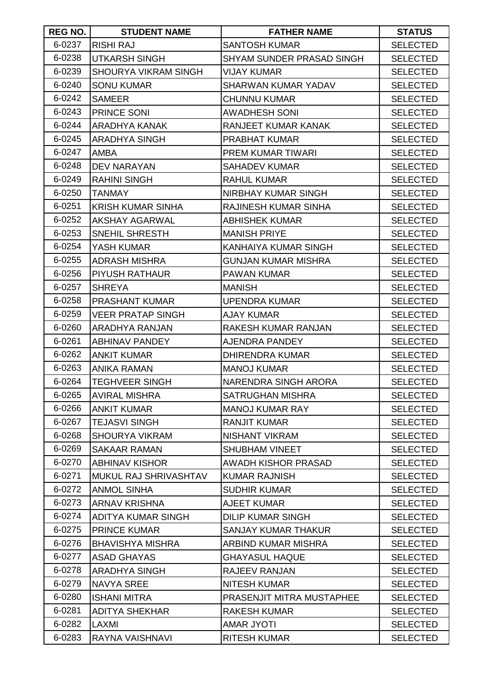| REG NO. | <b>STUDENT NAME</b>         | <b>FATHER NAME</b>         | <b>STATUS</b>   |
|---------|-----------------------------|----------------------------|-----------------|
| 6-0237  | <b>RISHI RAJ</b>            | <b>SANTOSH KUMAR</b>       | <b>SELECTED</b> |
| 6-0238  | <b>UTKARSH SINGH</b>        | SHYAM SUNDER PRASAD SINGH  | <b>SELECTED</b> |
| 6-0239  | <b>SHOURYA VIKRAM SINGH</b> | <b>VIJAY KUMAR</b>         | <b>SELECTED</b> |
| 6-0240  | <b>SONU KUMAR</b>           | <b>SHARWAN KUMAR YADAV</b> | <b>SELECTED</b> |
| 6-0242  | <b>SAMEER</b>               | <b>CHUNNU KUMAR</b>        | <b>SELECTED</b> |
| 6-0243  | PRINCE SONI                 | <b>AWADHESH SONI</b>       | <b>SELECTED</b> |
| 6-0244  | <b>ARADHYA KANAK</b>        | <b>RANJEET KUMAR KANAK</b> | <b>SELECTED</b> |
| 6-0245  | <b>ARADHYA SINGH</b>        | <b>PRABHAT KUMAR</b>       | <b>SELECTED</b> |
| 6-0247  | <b>AMBA</b>                 | <b>PREM KUMAR TIWARI</b>   | <b>SELECTED</b> |
| 6-0248  | <b>DEV NARAYAN</b>          | <b>SAHADEV KUMAR</b>       | <b>SELECTED</b> |
| 6-0249  | <b>RAHINI SINGH</b>         | <b>RAHUL KUMAR</b>         | <b>SELECTED</b> |
| 6-0250  | <b>TANMAY</b>               | NIRBHAY KUMAR SINGH        | <b>SELECTED</b> |
| 6-0251  | <b>KRISH KUMAR SINHA</b>    | RAJINESH KUMAR SINHA       | <b>SELECTED</b> |
| 6-0252  | AKSHAY AGARWAL              | ABHISHEK KUMAR             | <b>SELECTED</b> |
| 6-0253  | SNEHIL SHRESTH              | <b>MANISH PRIYE</b>        | <b>SELECTED</b> |
| 6-0254  | YASH KUMAR                  | KANHAIYA KUMAR SINGH       | <b>SELECTED</b> |
| 6-0255  | <b>ADRASH MISHRA</b>        | <b>GUNJAN KUMAR MISHRA</b> | <b>SELECTED</b> |
| 6-0256  | <b>PIYUSH RATHAUR</b>       | <b>PAWAN KUMAR</b>         | <b>SELECTED</b> |
| 6-0257  | <b>SHREYA</b>               | <b>MANISH</b>              | <b>SELECTED</b> |
| 6-0258  | <b>PRASHANT KUMAR</b>       | <b>UPENDRA KUMAR</b>       | <b>SELECTED</b> |
| 6-0259  | <b>VEER PRATAP SINGH</b>    | <b>AJAY KUMAR</b>          | <b>SELECTED</b> |
| 6-0260  | ARADHYA RANJAN              | RAKESH KUMAR RANJAN        | <b>SELECTED</b> |
| 6-0261  | <b>ABHINAV PANDEY</b>       | AJENDRA PANDEY             | <b>SELECTED</b> |
| 6-0262  | <b>ANKIT KUMAR</b>          | <b>DHIRENDRA KUMAR</b>     | <b>SELECTED</b> |
| 6-0263  | <b>ANIKA RAMAN</b>          | <b>MANOJ KUMAR</b>         | <b>SELECTED</b> |
| 6-0264  | <b>TEGHVEER SINGH</b>       | NARENDRA SINGH ARORA       | <b>SELECTED</b> |
| 6-0265  | <b>AVIRAL MISHRA</b>        | <b>SATRUGHAN MISHRA</b>    | <b>SELECTED</b> |
| 6-0266  | <b>ANKIT KUMAR</b>          | <b>MANOJ KUMAR RAY</b>     | <b>SELECTED</b> |
| 6-0267  | <b>TEJASVI SINGH</b>        | <b>RANJIT KUMAR</b>        | <b>SELECTED</b> |
| 6-0268  | <b>SHOURYA VIKRAM</b>       | <b>NISHANT VIKRAM</b>      | <b>SELECTED</b> |
| 6-0269  | <b>SAKAAR RAMAN</b>         | <b>SHUBHAM VINEET</b>      | <b>SELECTED</b> |
| 6-0270  | <b>ABHINAV KISHOR</b>       | <b>AWADH KISHOR PRASAD</b> | <b>SELECTED</b> |
| 6-0271  | MUKUL RAJ SHRIVASHTAV       | <b>KUMAR RAJNISH</b>       | <b>SELECTED</b> |
| 6-0272  | <b>ANMOL SINHA</b>          | <b>SUDHIR KUMAR</b>        | <b>SELECTED</b> |
| 6-0273  | <b>ARNAV KRISHNA</b>        | <b>AJEET KUMAR</b>         | <b>SELECTED</b> |
| 6-0274  | <b>ADITYA KUMAR SINGH</b>   | <b>DILIP KUMAR SINGH</b>   | <b>SELECTED</b> |
| 6-0275  | <b>PRINCE KUMAR</b>         | <b>SANJAY KUMAR THAKUR</b> | <b>SELECTED</b> |
| 6-0276  | <b>BHAVISHYA MISHRA</b>     | ARBIND KUMAR MISHRA        | <b>SELECTED</b> |
| 6-0277  | <b>ASAD GHAYAS</b>          | <b>GHAYASUL HAQUE</b>      | <b>SELECTED</b> |
| 6-0278  | ARADHYA SINGH               | <b>RAJEEV RANJAN</b>       | <b>SELECTED</b> |
| 6-0279  | <b>NAVYA SREE</b>           | <b>NITESH KUMAR</b>        | <b>SELECTED</b> |
| 6-0280  | <b>ISHANI MITRA</b>         | PRASENJIT MITRA MUSTAPHEE  | <b>SELECTED</b> |
| 6-0281  | <b>ADITYA SHEKHAR</b>       | <b>RAKESH KUMAR</b>        | <b>SELECTED</b> |
| 6-0282  | LAXMI                       | <b>AMAR JYOTI</b>          | <b>SELECTED</b> |
| 6-0283  | RAYNA VAISHNAVI             | <b>RITESH KUMAR</b>        | <b>SELECTED</b> |